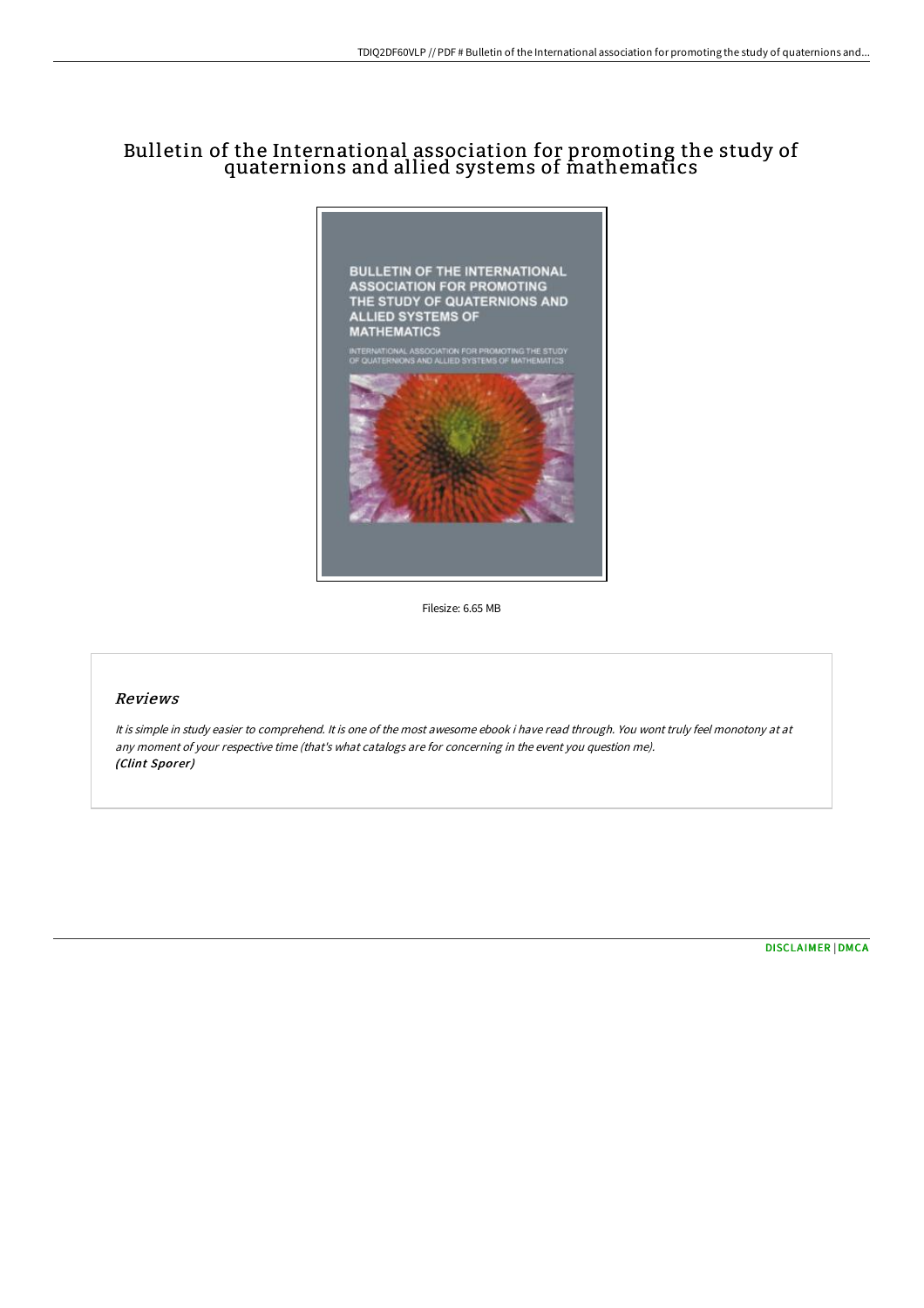# Bulletin of the International association for promoting the study of quaternions and allied systems of mathematics



Filesize: 6.65 MB

## Reviews

It is simple in study easier to comprehend. It is one of the most awesome ebook i have read through. You wont truly feel monotony at at any moment of your respective time (that's what catalogs are for concerning in the event you question me). (Clint Sporer)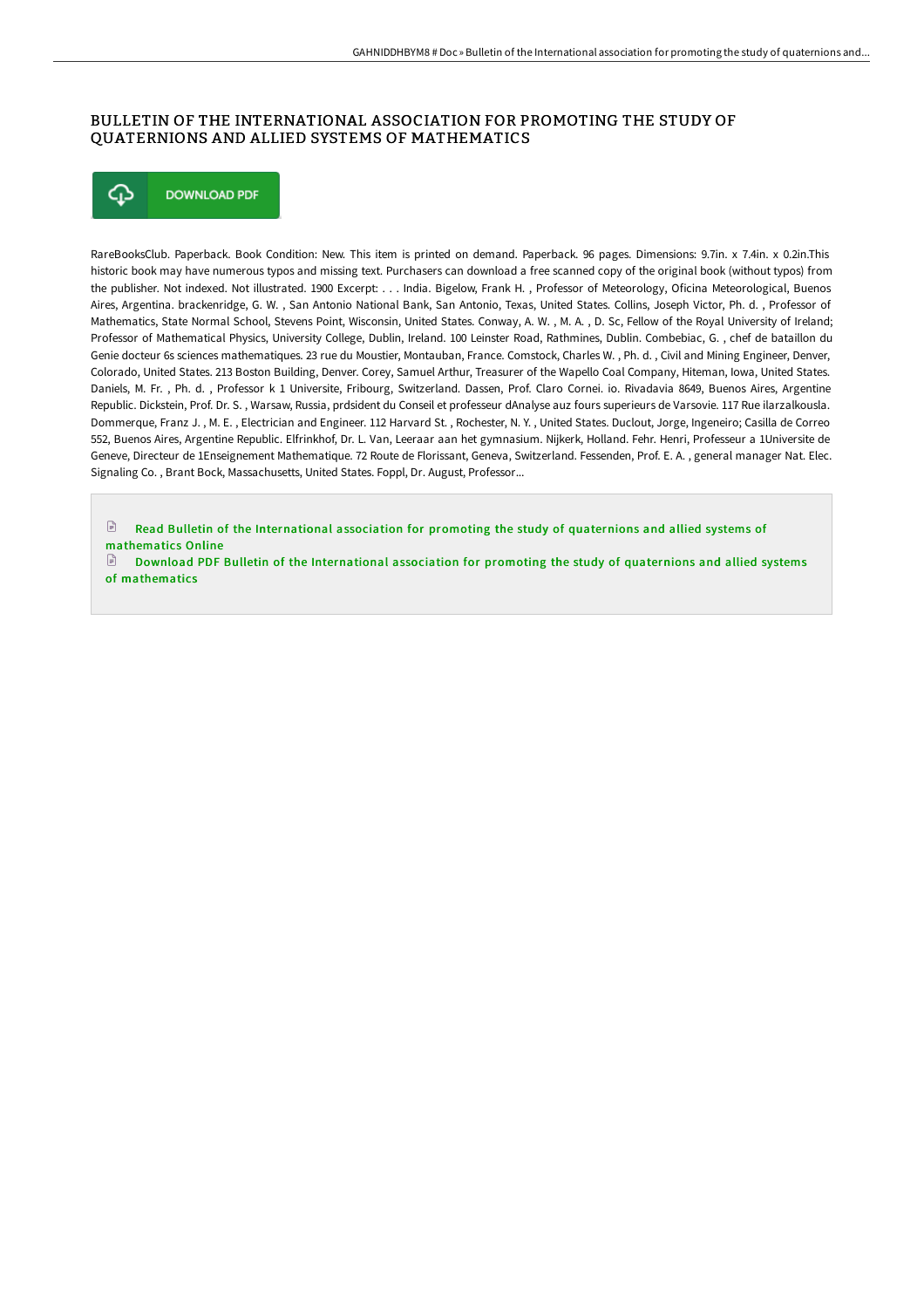### BULLETIN OF THE INTERNATIONAL ASSOCIATION FOR PROMOTING THE STUDY OF QUATERNIONS AND ALLIED SYSTEMS OF MATHEMATICS



RareBooksClub. Paperback. Book Condition: New. This item is printed on demand. Paperback. 96 pages. Dimensions: 9.7in. x 7.4in. x 0.2in.This historic book may have numerous typos and missing text. Purchasers can download a free scanned copy of the original book (without typos) from the publisher. Not indexed. Not illustrated. 1900 Excerpt: . . . India. Bigelow, Frank H. , Professor of Meteorology, Oficina Meteorological, Buenos Aires, Argentina. brackenridge, G. W. , San Antonio National Bank, San Antonio, Texas, United States. Collins, Joseph Victor, Ph. d. , Professor of Mathematics, State Normal School, Stevens Point, Wisconsin, United States. Conway, A. W. , M. A. , D. Sc, Fellow of the Royal University of Ireland; Professor of Mathematical Physics, University College, Dublin, Ireland. 100 Leinster Road, Rathmines, Dublin. Combebiac, G. , chef de bataillon du Genie docteur 6s sciences mathematiques. 23 rue du Moustier, Montauban, France. Comstock, Charles W. , Ph. d. , Civil and Mining Engineer, Denver, Colorado, United States. 213 Boston Building, Denver. Corey, Samuel Arthur, Treasurer of the Wapello Coal Company, Hiteman, Iowa, United States. Daniels, M. Fr. , Ph. d. , Professor k 1 Universite, Fribourg, Switzerland. Dassen, Prof. Claro Cornei. io. Rivadavia 8649, Buenos Aires, Argentine Republic. Dickstein, Prof. Dr. S. , Warsaw, Russia, prdsident du Conseil et professeur dAnalyse auz fours superieurs de Varsovie. 117 Rue ilarzalkousla. Dommerque, Franz J. , M. E. , Electrician and Engineer. 112 Harvard St. , Rochester, N. Y. , United States. Duclout, Jorge, Ingeneiro; Casilla de Correo 552, Buenos Aires, Argentine Republic. Elfrinkhof, Dr. L. Van, Leeraar aan het gymnasium. Nijkerk, Holland. Fehr. Henri, Professeur a 1Universite de Geneve, Directeur de 1Enseignement Mathematique. 72 Route de Florissant, Geneva, Switzerland. Fessenden, Prof. E. A. , general manager Nat. Elec. Signaling Co. , Brant Bock, Massachusetts, United States. Foppl, Dr. August, Professor...

 $\mathbb{R}$ Read Bulletin of the [International](http://albedo.media/bulletin-of-the-international-association-for-pr.html) association for promoting the study of quaternions and allied systems of mathematics Online

 $\Box$  Download PDF Bulletin of the [International](http://albedo.media/bulletin-of-the-international-association-for-pr.html) association for promoting the study of quaternions and allied systems of mathematics